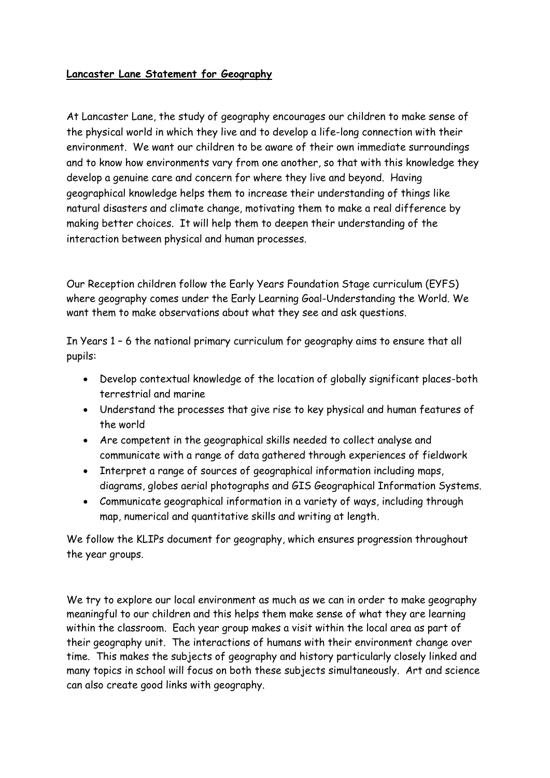## **Lancaster Lane Statement for Geography**

At Lancaster Lane, the study of geography encourages our children to make sense of the physical world in which they live and to develop a life-long connection with their environment. We want our children to be aware of their own immediate surroundings and to know how environments vary from one another, so that with this knowledge they develop a genuine care and concern for where they live and beyond. Having geographical knowledge helps them to increase their understanding of things like natural disasters and climate change, motivating them to make a real difference by making better choices. It will help them to deepen their understanding of the interaction between physical and human processes.

Our Reception children follow the Early Years Foundation Stage curriculum (EYFS) where geography comes under the Early Learning Goal-Understanding the World. We want them to make observations about what they see and ask questions.

In Years 1 – 6 the national primary curriculum for geography aims to ensure that all pupils:

- Develop contextual knowledge of the location of globally significant places-both terrestrial and marine
- Understand the processes that give rise to key physical and human features of the world
- Are competent in the geographical skills needed to collect analyse and communicate with a range of data gathered through experiences of fieldwork
- Interpret a range of sources of geographical information including maps, diagrams, globes aerial photographs and GIS Geographical Information Systems.
- Communicate geographical information in a variety of ways, including through map, numerical and quantitative skills and writing at length.

We follow the KLIPs document for geography, which ensures progression throughout the year groups.

We try to explore our local environment as much as we can in order to make geography meaningful to our children and this helps them make sense of what they are learning within the classroom. Each year group makes a visit within the local area as part of their geography unit. The interactions of humans with their environment change over time. This makes the subjects of geography and history particularly closely linked and many topics in school will focus on both these subjects simultaneously. Art and science can also create good links with geography.